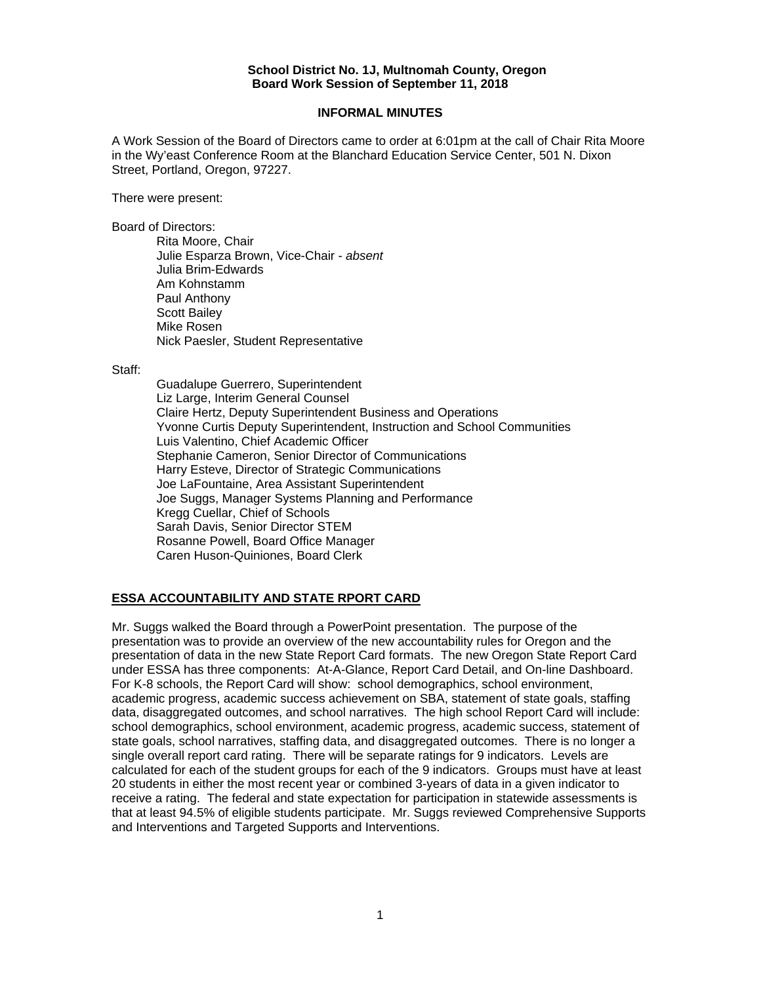#### **School District No. 1J, Multnomah County, Oregon Board Work Session of September 11, 2018**

### **INFORMAL MINUTES**

A Work Session of the Board of Directors came to order at 6:01pm at the call of Chair Rita Moore in the Wy'east Conference Room at the Blanchard Education Service Center, 501 N. Dixon Street, Portland, Oregon, 97227.

There were present:

Board of Directors:

Rita Moore, Chair Julie Esparza Brown, Vice-Chair - *absent* Julia Brim-Edwards Am Kohnstamm Paul Anthony Scott Bailey Mike Rosen Nick Paesler, Student Representative

Staff:

 Guadalupe Guerrero, Superintendent Liz Large, Interim General Counsel Claire Hertz, Deputy Superintendent Business and Operations Yvonne Curtis Deputy Superintendent, Instruction and School Communities Luis Valentino, Chief Academic Officer Stephanie Cameron, Senior Director of Communications Harry Esteve, Director of Strategic Communications Joe LaFountaine, Area Assistant Superintendent Joe Suggs, Manager Systems Planning and Performance Kregg Cuellar, Chief of Schools Sarah Davis, Senior Director STEM Rosanne Powell, Board Office Manager Caren Huson-Quiniones, Board Clerk

### **ESSA ACCOUNTABILITY AND STATE RPORT CARD**

Mr. Suggs walked the Board through a PowerPoint presentation. The purpose of the presentation was to provide an overview of the new accountability rules for Oregon and the presentation of data in the new State Report Card formats. The new Oregon State Report Card under ESSA has three components: At-A-Glance, Report Card Detail, and On-line Dashboard. For K-8 schools, the Report Card will show: school demographics, school environment, academic progress, academic success achievement on SBA, statement of state goals, staffing data, disaggregated outcomes, and school narratives. The high school Report Card will include: school demographics, school environment, academic progress, academic success, statement of state goals, school narratives, staffing data, and disaggregated outcomes. There is no longer a single overall report card rating. There will be separate ratings for 9 indicators. Levels are calculated for each of the student groups for each of the 9 indicators. Groups must have at least 20 students in either the most recent year or combined 3-years of data in a given indicator to receive a rating. The federal and state expectation for participation in statewide assessments is that at least 94.5% of eligible students participate. Mr. Suggs reviewed Comprehensive Supports and Interventions and Targeted Supports and Interventions.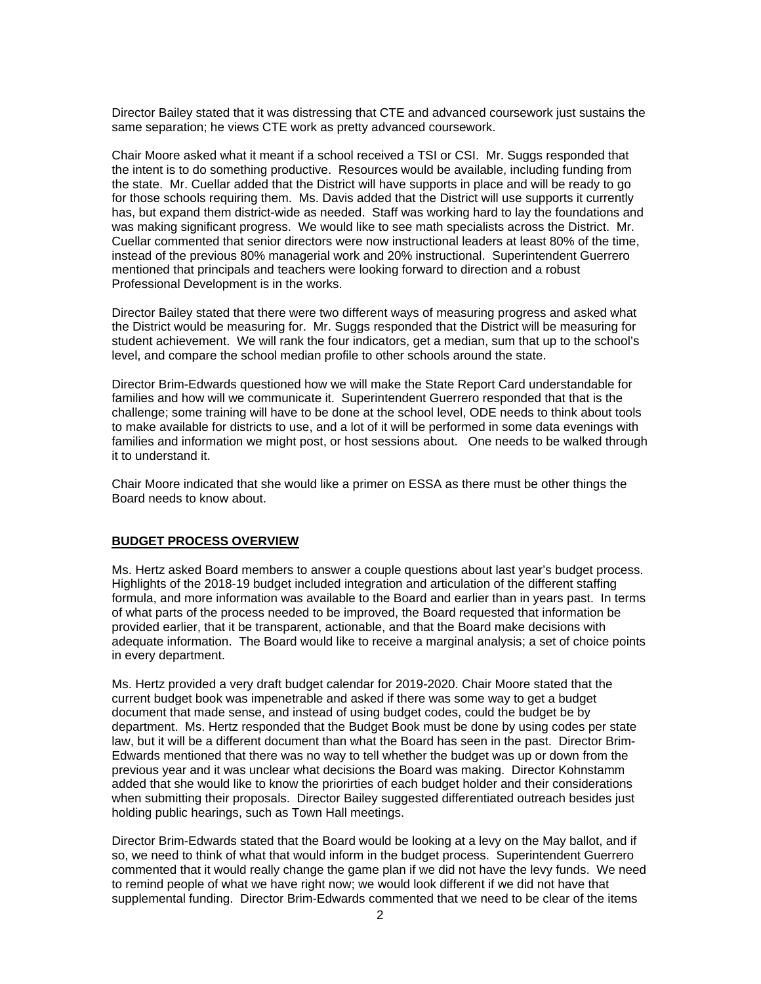Director Bailey stated that it was distressing that CTE and advanced coursework just sustains the same separation; he views CTE work as pretty advanced coursework.

Chair Moore asked what it meant if a school received a TSI or CSI. Mr. Suggs responded that the intent is to do something productive. Resources would be available, including funding from the state. Mr. Cuellar added that the District will have supports in place and will be ready to go for those schools requiring them. Ms. Davis added that the District will use supports it currently has, but expand them district-wide as needed. Staff was working hard to lay the foundations and was making significant progress. We would like to see math specialists across the District. Mr. Cuellar commented that senior directors were now instructional leaders at least 80% of the time, instead of the previous 80% managerial work and 20% instructional. Superintendent Guerrero mentioned that principals and teachers were looking forward to direction and a robust Professional Development is in the works.

Director Bailey stated that there were two different ways of measuring progress and asked what the District would be measuring for. Mr. Suggs responded that the District will be measuring for student achievement. We will rank the four indicators, get a median, sum that up to the school's level, and compare the school median profile to other schools around the state.

Director Brim-Edwards questioned how we will make the State Report Card understandable for families and how will we communicate it. Superintendent Guerrero responded that that is the challenge; some training will have to be done at the school level, ODE needs to think about tools to make available for districts to use, and a lot of it will be performed in some data evenings with families and information we might post, or host sessions about. One needs to be walked through it to understand it.

Chair Moore indicated that she would like a primer on ESSA as there must be other things the Board needs to know about.

#### **BUDGET PROCESS OVERVIEW**

Ms. Hertz asked Board members to answer a couple questions about last year's budget process. Highlights of the 2018-19 budget included integration and articulation of the different staffing formula, and more information was available to the Board and earlier than in years past. In terms of what parts of the process needed to be improved, the Board requested that information be provided earlier, that it be transparent, actionable, and that the Board make decisions with adequate information. The Board would like to receive a marginal analysis; a set of choice points in every department.

Ms. Hertz provided a very draft budget calendar for 2019-2020. Chair Moore stated that the current budget book was impenetrable and asked if there was some way to get a budget document that made sense, and instead of using budget codes, could the budget be by department. Ms. Hertz responded that the Budget Book must be done by using codes per state law, but it will be a different document than what the Board has seen in the past. Director Brim-Edwards mentioned that there was no way to tell whether the budget was up or down from the previous year and it was unclear what decisions the Board was making. Director Kohnstamm added that she would like to know the priorirties of each budget holder and their considerations when submitting their proposals. Director Bailey suggested differentiated outreach besides just holding public hearings, such as Town Hall meetings.

Director Brim-Edwards stated that the Board would be looking at a levy on the May ballot, and if so, we need to think of what that would inform in the budget process. Superintendent Guerrero commented that it would really change the game plan if we did not have the levy funds. We need to remind people of what we have right now; we would look different if we did not have that supplemental funding. Director Brim-Edwards commented that we need to be clear of the items